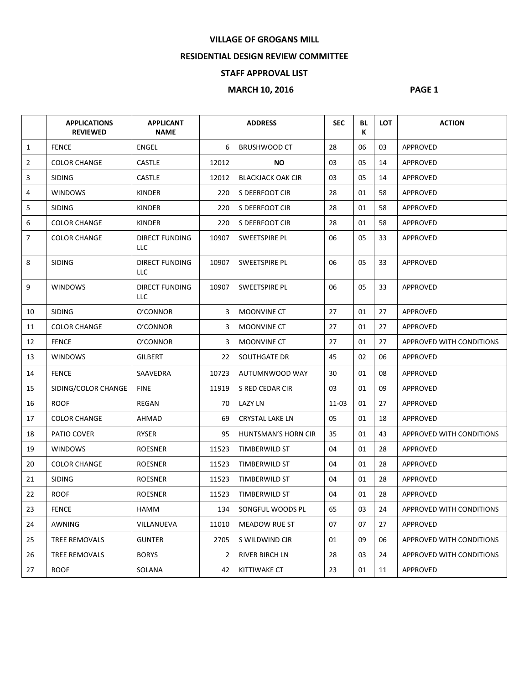## **VILLAGE OF GROGANS MILL**

## **RESIDENTIAL DESIGN REVIEW COMMITTEE**

## **STAFF APPROVAL LIST**

## **MARCH 10, 2016** PAGE 1

|                | <b>APPLICATIONS</b><br><b>REVIEWED</b> | <b>APPLICANT</b><br><b>NAME</b> |              | <b>ADDRESS</b>           | <b>SEC</b> | BL<br>К | <b>LOT</b> | <b>ACTION</b>            |
|----------------|----------------------------------------|---------------------------------|--------------|--------------------------|------------|---------|------------|--------------------------|
| $\mathbf{1}$   | <b>FENCE</b>                           | ENGEL                           | 6            | <b>BRUSHWOOD CT</b>      | 28         | 06      | 03         | APPROVED                 |
| $\overline{2}$ | <b>COLOR CHANGE</b>                    | <b>CASTLE</b>                   | 12012        | NO.                      | 03         | 05      | 14         | APPROVED                 |
| $\overline{3}$ | <b>SIDING</b>                          | <b>CASTLE</b>                   | 12012        | <b>BLACKJACK OAK CIR</b> | 03         | 05      | 14         | APPROVED                 |
| 4              | <b>WINDOWS</b>                         | <b>KINDER</b>                   | 220          | S DEERFOOT CIR           | 28         | 01      | 58         | <b>APPROVED</b>          |
| 5              | <b>SIDING</b>                          | <b>KINDER</b>                   | 220          | S DEERFOOT CIR           | 28         | 01      | 58         | APPROVED                 |
| 6              | <b>COLOR CHANGE</b>                    | <b>KINDER</b>                   |              | 220 S DEERFOOT CIR       | 28         | 01      | 58         | APPROVED                 |
| $\overline{7}$ | <b>COLOR CHANGE</b>                    | DIRECT FUNDING<br>LLC           | 10907        | SWEETSPIRE PL            | 06         | 05      | 33         | APPROVED                 |
| 8              | <b>SIDING</b>                          | DIRECT FUNDING<br>LLC           | 10907        | SWEETSPIRE PL            | 06         | 05      | 33         | <b>APPROVED</b>          |
| 9              | <b>WINDOWS</b>                         | DIRECT FUNDING<br>LLC           | 10907        | SWEETSPIRE PL            | 06         | 05      | 33         | APPROVED                 |
| 10             | <b>SIDING</b>                          | O'CONNOR                        | 3            | <b>MOONVINE CT</b>       | 27         | 01      | 27         | <b>APPROVED</b>          |
| 11             | <b>COLOR CHANGE</b>                    | O'CONNOR                        | 3            | <b>MOONVINE CT</b>       | 27         | 01      | 27         | APPROVED                 |
| 12             | <b>FENCE</b>                           | O'CONNOR                        | 3            | <b>MOONVINE CT</b>       | 27         | 01      | 27         | APPROVED WITH CONDITIONS |
| 13             | <b>WINDOWS</b>                         | <b>GILBERT</b>                  |              | 22 SOUTHGATE DR          | 45         | 02      | 06         | <b>APPROVED</b>          |
| 14             | <b>FENCE</b>                           | SAAVEDRA                        | 10723        | AUTUMNWOOD WAY           | 30         | 01      | 08         | APPROVED                 |
| 15             | SIDING/COLOR CHANGE                    | <b>FINE</b>                     | 11919        | S RED CEDAR CIR          | 03         | 01      | 09         | APPROVED                 |
| 16             | <b>ROOF</b>                            | REGAN                           | 70           | <b>LAZY LN</b>           | 11-03      | 01      | 27         | APPROVED                 |
| 17             | <b>COLOR CHANGE</b>                    | AHMAD                           | 69           | <b>CRYSTAL LAKE LN</b>   | 05         | 01      | 18         | APPROVED                 |
| 18             | PATIO COVER                            | RYSER                           | 95           | HUNTSMAN'S HORN CIR      | 35         | 01      | 43         | APPROVED WITH CONDITIONS |
| 19             | <b>WINDOWS</b>                         | <b>ROESNER</b>                  | 11523        | TIMBERWILD ST            | 04         | 01      | 28         | <b>APPROVED</b>          |
| 20             | <b>COLOR CHANGE</b>                    | <b>ROESNER</b>                  | 11523        | TIMBERWILD ST            | 04         | 01      | 28         | APPROVED                 |
| 21             | <b>SIDING</b>                          | <b>ROESNER</b>                  | 11523        | TIMBERWILD ST            | 04         | 01      | 28         | APPROVED                 |
| 22             | <b>ROOF</b>                            | <b>ROESNER</b>                  | 11523        | TIMBERWILD ST            | 04         | 01      | 28         | <b>APPROVED</b>          |
| 23             | <b>FENCE</b>                           | HAMM                            | 134          | SONGFUL WOODS PL         | 65         | 03      | 24         | APPROVED WITH CONDITIONS |
| 24             | AWNING                                 | VILLANUEVA                      | 11010        | MEADOW RUE ST            | 07         | 07      | 27         | <b>APPROVED</b>          |
| 25             | TREE REMOVALS                          | <b>GUNTER</b>                   | 2705         | S WILDWIND CIR           | 01         | 09      | 06         | APPROVED WITH CONDITIONS |
| 26             | TREE REMOVALS                          | <b>BORYS</b>                    | $\mathbf{2}$ | RIVER BIRCH LN           | 28         | 03      | 24         | APPROVED WITH CONDITIONS |
| 27             | <b>ROOF</b>                            | SOLANA                          | 42           | KITTIWAKE CT             | 23         | 01      | 11         | APPROVED                 |